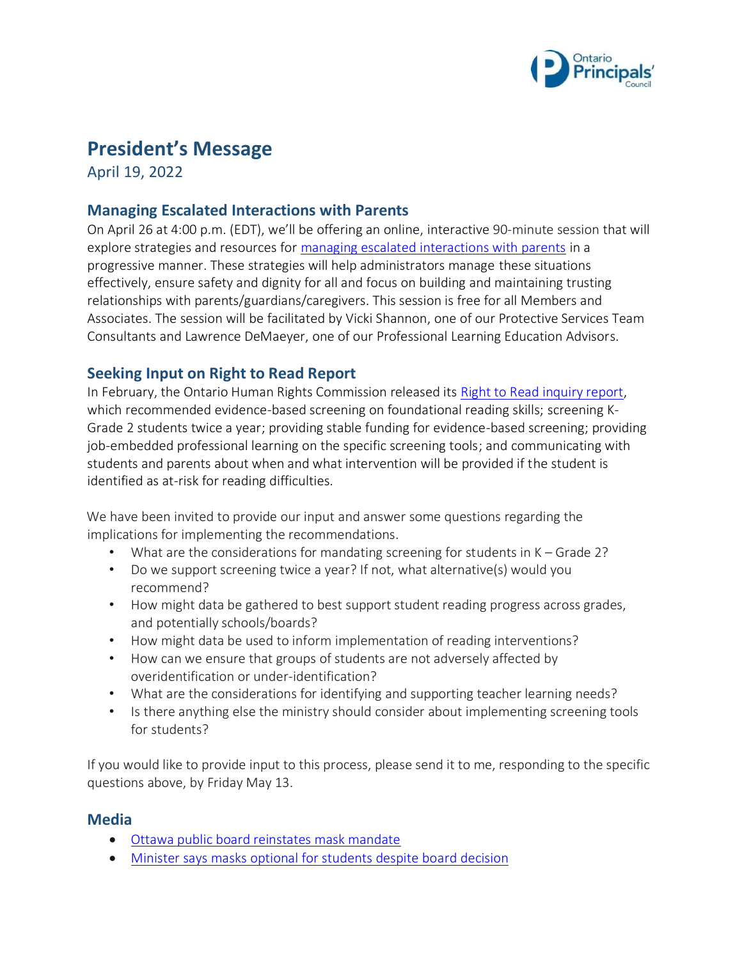

# **President's Message**

April 19, 2022

### **Managing Escalated Interactions with Parents**

On April 26 at 4:00 p.m. (EDT), we'll be offering an online, interactive 90-minute session that will explore strategies and resources for [managing escalated interactions with parents](https://www.principals.ca/en/professional-learning/monthly-themed-learning.aspx) in a progressive manner. These strategies will help administrators manage these situations effectively, ensure safety and dignity for all and focus on building and maintaining trusting relationships with parents/guardians/caregivers. This session is free for all Members and Associates. The session will be facilitated by Vicki Shannon, one of our Protective Services Team Consultants and Lawrence DeMaeyer, one of our Professional Learning Education Advisors.

### **Seeking Input on Right to Read Report**

In February, the Ontario Human Rights Commission released its [Right to Read inquiry report,](https://www.ohrc.on.ca/en/right-to-read-inquiry-report) which recommended evidence-based screening on foundational reading skills; screening K-Grade 2 students twice a year; providing stable funding for evidence-based screening; providing job-embedded professional learning on the specific screening tools; and communicating with students and parents about when and what intervention will be provided if the student is identified as at-risk for reading difficulties.

We have been invited to provide our input and answer some questions regarding the implications for implementing the recommendations.

- What are the considerations for mandating screening for students in K Grade 2?
- Do we support screening twice a year? If not, what alternative(s) would you recommend?
- How might data be gathered to best support student reading progress across grades, and potentially schools/boards?
- How might data be used to inform implementation of reading interventions?
- How can we ensure that groups of students are not adversely affected by overidentification or under-identification?
- What are the considerations for identifying and supporting teacher learning needs?
- Is there anything else the ministry should consider about implementing screening tools for students?

If you would like to provide input to this process, please send it to me, responding to the specific questions above, by Friday May 13.

#### **Media**

- [Ottawa public board reinstates mask mandate](https://www.theglobeandmail.com/canada/article-ottawa-public-school-board-reinstates-mask-mandate-as-other-boards/)
- [Minister says masks optional for students despite board decision](https://torontosun.com/opinion/columnists/furey-lecce-says-masks-optional-for-all-students-regardless-of-ottawa-board-rules)